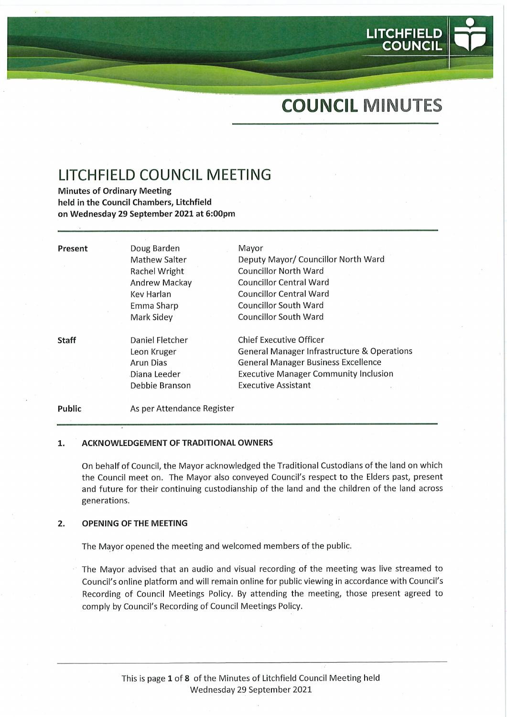# COUNCIL MINUTES

LITCHFIELD<br>COUNCIL

## LITCHFIELD COUNCIL MEETING

Minutes of Ordinary Meeting held in the Council Chambers, Litchfield on Wednesday 29 September 2021 at 6:00pm

| Present      | Doug Barden          | Mayor                                                  |
|--------------|----------------------|--------------------------------------------------------|
|              | <b>Mathew Salter</b> | Deputy Mayor/ Councillor North Ward                    |
|              | Rachel Wright        | Councillor North Ward                                  |
|              | Andrew Mackay        | <b>Councillor Central Ward</b>                         |
|              | Kev Harlan           | <b>Councillor Central Ward</b>                         |
|              | Emma Sharp           | Councillor South Ward                                  |
|              | Mark Sidey           | <b>Councillor South Ward</b>                           |
| <b>Staff</b> | Daniel Fletcher      | <b>Chief Executive Officer</b>                         |
|              | Leon Kruger          | <b>General Manager Infrastructure &amp; Operations</b> |
|              | Arun Dias            | <b>General Manager Business Excellence</b>             |
|              | Diana Leeder         | <b>Executive Manager Community Inclusion</b>           |
|              | Debbie Branson       | <b>Executive Assistant</b>                             |
|              |                      |                                                        |

#### ACKNOWLEDGEMENT OF TRADITIONAL OWNERS 1.

As per Attendance Register

On behalf of Council, the Mayor acknowledged the Traditional Custodians of the land on which the Council meet on. The Mayor also conveyed Council's respect to the Elders past, present and future for their continuing custodianship of the land and the children of the land across generations.

#### $2.$ OPENING OF THE MEETING

Public

The Mayor opened the meeting and welcomed members of the public.

The Mayor advised that an audio and visual recording of the meeting was live streamed to Council's online platform and will remain online for public viewing in accordance with Council's Recording of Council Meetings Policy. By attending the meeting, those present agreed to comply by Council's Recording of Council Meetings Policy.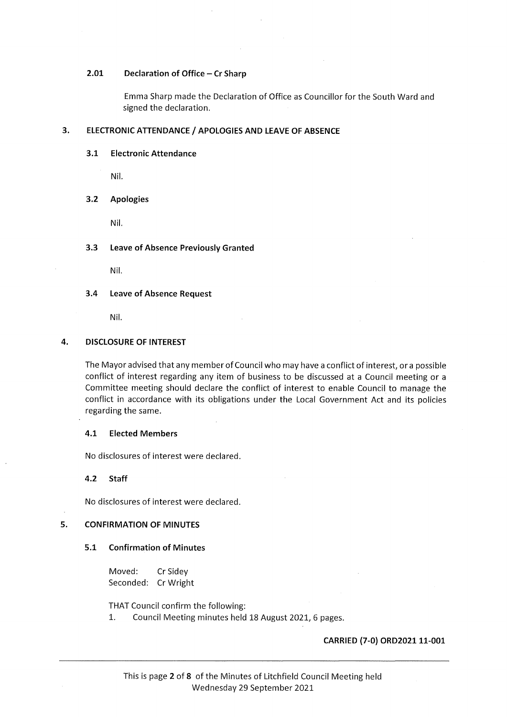#### 2.01 Declaration of Office - Cr Sharp

Emma Sharp made the Declaration of Office as Councillor for the South Ward and signed the declaration.

### 3. ELECTRONIC ATTENDANCE / APOLOGIES AND LEAVE OF ABSENCE

#### 3.1 Electronic Attendance

Nil.

#### 3.2 Apologies

Nil.

#### 3.3 Leave of Absence Previously Granted

Nil.

#### 3.4 Leave of Absence Request

Nil.

#### 4. DISCLOSURE OF INTEREST

The Mayor advised that any member of Council who may have a conflict of interest, or a possible conflict of interest regarding any item of business to be discussed at a Council meeting or a Committee meeting should declare the conflict of interest to enable Council to manage the conflict in accordance with its obligations under the Local Government Act and its policies regarding the same.

#### 4.1 Elected Members

No disclosures of interest were declared.

4.2 Staff

No disclosures of interest were declared.

#### 5. CONFIRMATION OF MINUTES

#### 5.1 Confirmation of Minutes

Moved: CrSidey Seconded: CrWright

THAT Council confirm the following:

1. Council Meeting minutes held 18 August 2021, 6 pages.

#### CARRIED (7-0) ORD2021 11-001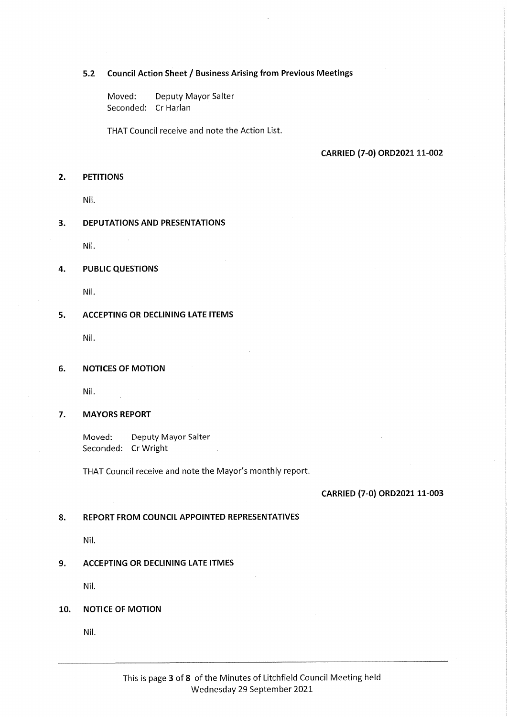## 5.2 Council Action Sheet / Business Arising from Previous Meetings

Moved: Deputy Mayor Salter Seconded: Cr Harlan

THAT Council receive and note the Action List.

#### CARRIED (7-0) ORD2021 11-002

#### 2. PETITIONS

Nil.

#### 3. DEPUTATIONS AND PRESENTATIONS

Nil.

#### 4. PUBLIC QUESTIONS

Nil.

#### 5. ACCEPTING OR DECLINING LATE ITEMS

Nil.

#### 6. NOTICES OF MOTION

Nil.

#### 7. MAYORS REPORT

Moved: Deputy Mayor Salter Seconded: CrWright

THAT Council receive and note the Mayor's monthly report.

#### CARRIED (7-0) ORD2021 11-003

#### 8. REPORT FROM COUNCIL APPOINTED REPRESENTATIVES

Nil.

#### 9. ACCEPTING OR DECLINING LATE ITMES

Nil.

#### 10. NOTICE OF MOTION

Nil.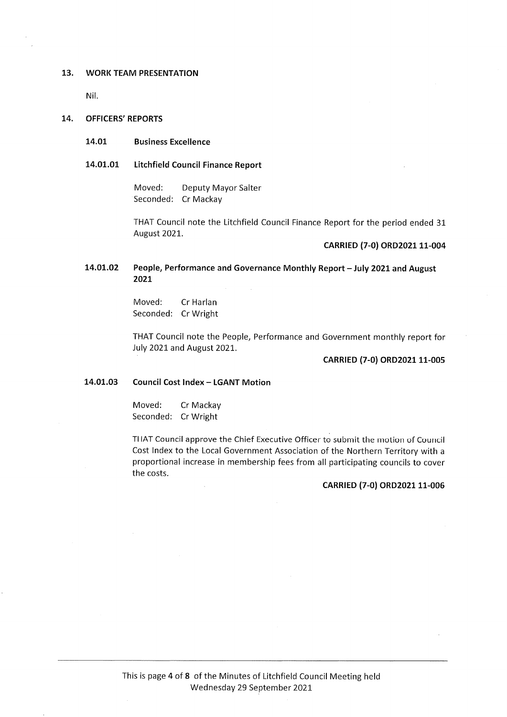#### 13. WORK TEAM PRESENTATION

Nil.

#### 14. OFFICERS' REPORTS

#### 14.01 Business Excellence

#### 14.01.01 Litchfield Council Finance Report

Moved: Deputy Mayor Salter Seconded: Cr Mackay

THAT Council note the Litchfield Council Finance Report for the period ended 31 August 2021.

#### CARRIED (7-0) ORD2021 11-004

#### 14.01.02 People, Performance and Governance Monthly Report - July 2021 and August 2021

Moved: CrHarlan Seconded: CrWright

THAT Council note the People, Performance and Government monthly report for July 2021 and August 2021.

### CARRIED (7-0) ORD2021 11-005

#### 14.01.03 Council Cost Index - LGANT Motion

Moved: Cr Mackay Seconded: CrWright

THAT Council approve the Chief Executive Officer to submit the motion of Council Cost Index to the Local Government Association of the Northern Territory with a proportional increase in membership fees from all participating councils to cover the costs.

#### CARRIED (7-0) ORD2021 11-006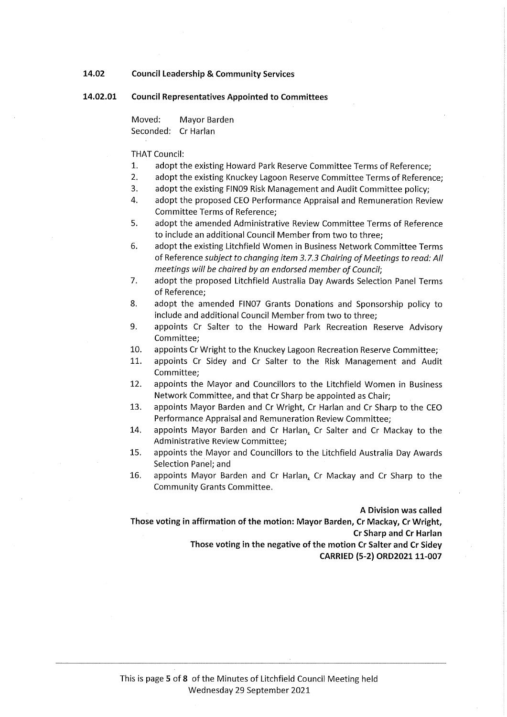- 14.02 Council Leadership & Community Services
- 14.02.01 Council Representatives Appointed to Committees

Moved: Mayor Barden Seconded: Cr Harlan

THAT Council:

- 1. adopt the existing Howard Park Reserve Committee Terms of Reference;
- 2. adopt the existing Knuckey Lagoon Reserve Committee Terms of Reference;
- 3. adopt the existing FIN09 Risk Management and Audit Committee policy;
- 4. adopt the proposed CEO Performance Appraisal and Remuneration Review Committee Terms of Reference;
- 5. adopt the amended Administrative Review Committee Terms of Reference to include an additional Council Member from two to three;
- 6. adopt the existing Litchfield Women in Business Network Committee Terms of Reference subject to changing item 3.7.3 Chairing of Meetings to read: All meetings will be chaired by an endorsed member of Council;
- 7. adopt the proposed Litchfield Australia Day Awards Selection Panel Terms of Reference;
- 8. adopt the amended FIN07 Grants Donations and Sponsorship policy to include and additional Council Member from two to three;
- 9. appoints Cr Salter to the Howard Park Recreation Reserve Advisory Committee;
- 10. appoints Cr Wright to the Knuckey Lagoon Recreation Reserve Committee;
- 11. appoints Cr Sidey and Cr Salter to the Risk Management and Audit Committee;
- 12. appoints the Mayor and Councillors to the Litchfield Women in Business Network Committee, and that Cr Sharp be appointed as Chair;
- 13. appoints Mayor Barden and Cr Wright, Cr Harlan and Cr Sharp to the CEO Performance Appraisal and Remuneration Review Committee;
- 14. appoints Mayor Barden and Cr Harlan, Cr Salter and Cr Mackay to the Administrative Review Committee;
- 15. appoints the Mayor and Councillors to the Litchfield Australia Day Awards Selection Panel; and
- 16. appoints Mayor Barden and Cr Harlan, Cr Mackay and Cr Sharp to the Community Grants Committee.

A Division was called Those voting in affirmation of the motion: Mayor Barden, Cr Mackay, Cr Wright, Cr Sharp and Cr Harlan Those voting in the negative of the motion Cr Salter and Cr Sidey CARRIED (5-2) ORD2021 11-007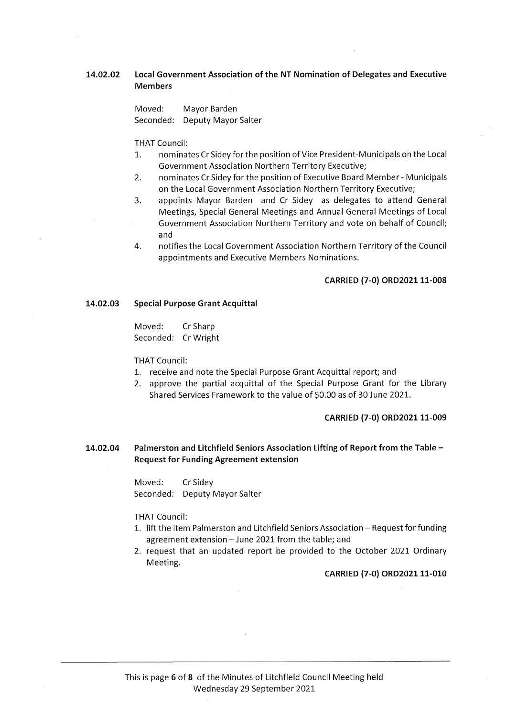#### 14.02.02 Local Government Association of the NT Nomination of Delegates and Executive Members

Moved: Mayor Barden Seconded: Deputy Mayor Salter

THAT Council:

- 1. nominates Cr Sidey for the position of Vice President-Municipals on the Local Government Association Northern Territory Executive;
- 2. nominates Cr Sidey for the position of Executive Board Member Municipals on the Local Government Association Northern Territory Executive;
- 3. appoints Mayor Barden and Cr Sidey as delegates to attend General Meetings, Special General Meetings and Annual General Meetings of Local Government Association Northern Territory and vote on behalf of Council; and
- 4. notifies the Local Government Association Northern Territory of the Council appointments and Executive Members Nominations.

#### CARRIED (7-0) ORD2021 11-008

#### 14.02.03 Special Purpose Grant Acquittal

Moved: CrSharp Seconded: CrWright

THAT Council:

- 1. receive and note the Special Purpose Grant Acquittal report; and
- 2. approve the partial acquittal of the Special Purpose Grant for the Library Shared Services Framework to the value of \$0.00 as of 30 June 2021.

#### CARRIED (7-0) ORD2021 11-009

14.02.04 Palmerston and Litchfield Seniors Association Lifting of Report from the Table - Request for Funding Agreement extension

> Moved: CrSidey Seconded: Deputy Mayor Salter

#### THAT Council:

- 1. lift the item Palmerston and Litchfield Seniors Association-Request for funding agreement extension - June 2021 from the table; and
- 2. request that an updated report be provided to the October 2021 Ordinary Meeting.

#### CARRIED (7-0) ORD2021 11-010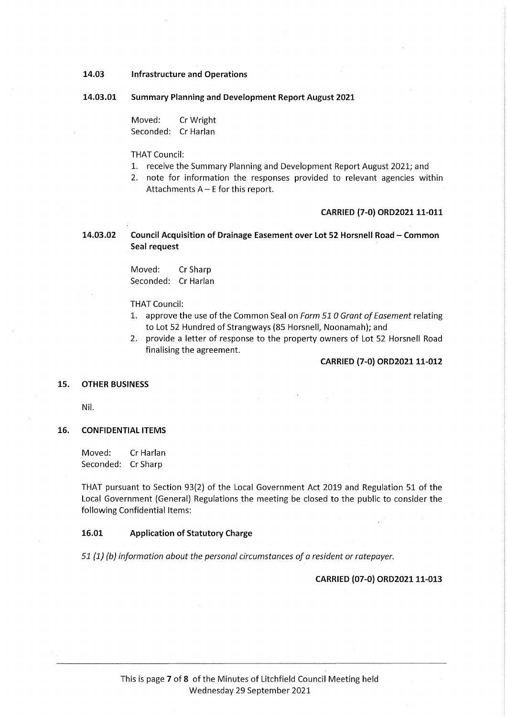- 14.03 Infrastructure and Operations
- 14.03.01 Summary Planning and Development Report August 2021

Moved: CrWright Seconded: Cr Harlan

#### THAT Council:

- 1. receive the Summary Planning and Development Report August 2021; and
- 2. note for information the responses provided to relevant agencies within Attachments  $A - E$  for this report.

#### CARRIED (7-0) ORD2021 11-011

14.03.02 Council Acquisition of Drainage Easement over Lot 52 Horsnell Road - Common Seal request

> Moved: CrSharp Seconded: Cr Harlan

#### THAT Council:

- 1. approve the use of the Common Seal on Form 510 Grant of Easement relating to Lot 52 Hundred of Strangways (85 Horsnell, Noonamah); and
- 2. provide a letter of response to the property owners of Lot 52 Horsnell Road finalising the agreement.

#### CARRIED (7-0) ORD2021 11-012

#### 15. OTHER BUSINESS

Nil.

#### 16. CONFIDENTIAL ITEMS

Moved: Cr Harlan Seconded: CrSharp

THAT pursuant to Section 93(2) of the Local Government Act 2019 and Regulation 51 of the Local Government (General) Regulations the meeting be closed to the public to consider the following Confidential Items:

#### 16.01 Application of Statutory Charge

51 (1) (b) information about the personal circumstances of a resident or ratepayer.

#### CARRIED (07-0) ORD2021 11-013